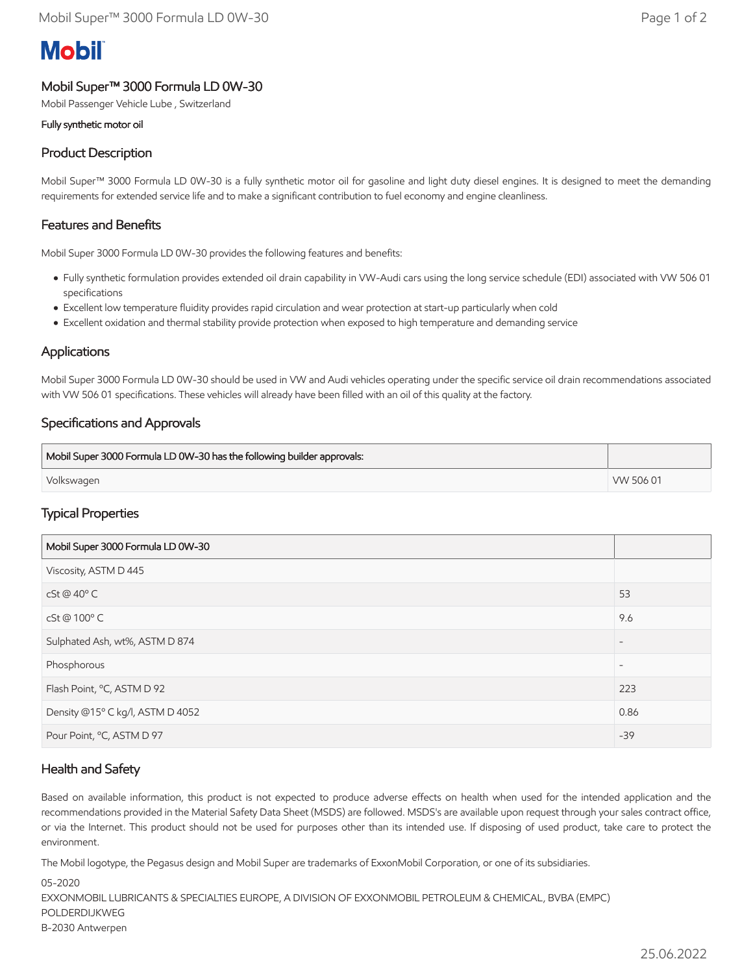# **Mobil**

## Mobil Super™ 3000 Formula LD 0W-30

Mobil Passenger Vehicle Lube , Switzerland

#### Fully synthetic motor oil

# Product Description

Mobil Super™ 3000 Formula LD 0W-30 is a fully synthetic motor oil for gasoline and light duty diesel engines. It is designed to meet the demanding requirements for extended service life and to make a significant contribution to fuel economy and engine cleanliness.

#### Features and Benefits

Mobil Super 3000 Formula LD 0W-30 provides the following features and benefits:

- Fully synthetic formulation provides extended oil drain capability in VW-Audi cars using the long service schedule (EDI) associated with VW 506 01 specifications
- Excellent low temperature fluidity provides rapid circulation and wear protection at start-up particularly when cold
- Excellent oxidation and thermal stability provide protection when exposed to high temperature and demanding service

#### Applications

Mobil Super 3000 Formula LD 0W-30 should be used in VW and Audi vehicles operating under the specific service oil drain recommendations associated with VW 506 01 specifications. These vehicles will already have been filled with an oil of this quality at the factory.

### Specifications and Approvals

| Mobil Super 3000 Formula LD 0W-30 has the following builder approvals: |           |
|------------------------------------------------------------------------|-----------|
| Volkswagen                                                             | VW 506 01 |

### Typical Properties

| Mobil Super 3000 Formula LD 0W-30 |                          |
|-----------------------------------|--------------------------|
| Viscosity, ASTM D 445             |                          |
| $cSt@40^{\circ}$ C                | 53                       |
| cSt @ 100°C                       | 9.6                      |
| Sulphated Ash, wt%, ASTM D 874    | $\overline{\phantom{a}}$ |
| Phosphorous                       | $\overline{\phantom{a}}$ |
| Flash Point, °C, ASTM D 92        | 223                      |
| Density @15° C kg/l, ASTM D 4052  | 0.86                     |
| Pour Point, °C, ASTM D 97         | $-39$                    |

### Health and Safety

Based on available information, this product is not expected to produce adverse effects on health when used for the intended application and the recommendations provided in the Material Safety Data Sheet (MSDS) are followed. MSDS's are available upon request through your sales contract office, or via the Internet. This product should not be used for purposes other than its intended use. If disposing of used product, take care to protect the environment.

The Mobil logotype, the Pegasus design and Mobil Super are trademarks of ExxonMobil Corporation, or one of its subsidiaries.

05-2020 EXXONMOBIL LUBRICANTS & SPECIALTIES EUROPE, A DIVISION OF EXXONMOBIL PETROLEUM & CHEMICAL, BVBA (EMPC) POLDERDIJKWEG B-2030 Antwerpen